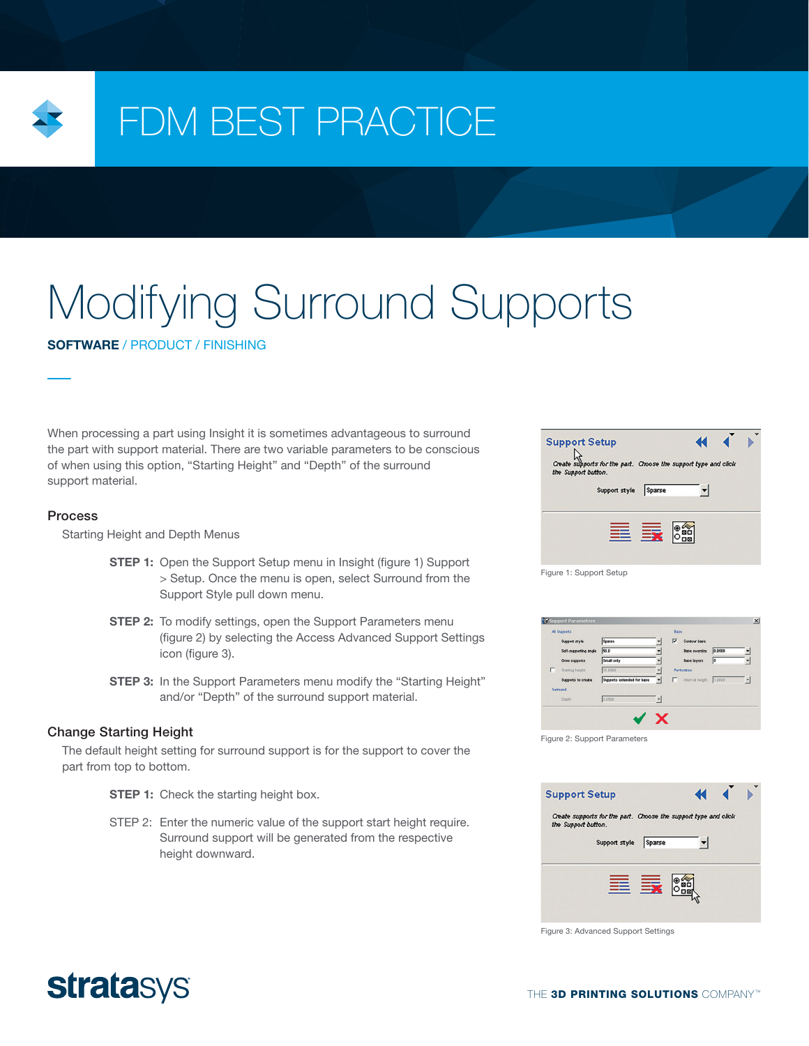

# FDM BEST PRACTICE

# Modifying Surround Supports

SOFTWARE / PRODUCT / FINISHING

When processing a part using Insight it is sometimes advantageous to surround the part with support material. There are two variable parameters to be conscious of when using this option, "Starting Height" and "Depth" of the surround support material.

#### Process

Starting Height and Depth Menus

- **STEP 1:** Open the Support Setup menu in Insight (figure 1) Support > Setup. Once the menu is open, select Surround from the Support Style pull down menu.
- **STEP 2:** To modify settings, open the Support Parameters menu (figure 2) by selecting the Access Advanced Support Settings icon (figure 3).
- **STEP 3:** In the Support Parameters menu modify the "Starting Height" and/or "Depth" of the surround support material.

### Change Starting Height

The default height setting for surround support is for the support to cover the part from top to bottom.

- **STEP 1:** Check the starting height box.
- STEP 2: Enter the numeric value of the support start height require. Surround support will be generated from the respective height downward.



Figure 1: Support Setup

|   | Support style         | Sparse                     |   | ⊽           | Contour base         |        |   |
|---|-----------------------|----------------------------|---|-------------|----------------------|--------|---|
|   |                       |                            |   |             |                      |        |   |
|   | Self-supporting angle | 50.0                       |   |             | <b>Base oversize</b> | 0.0500 |   |
|   | Grow supports         | Small only                 |   |             | <b>Base layers</b>   | 15     |   |
| г | Starting height       | 10.0000                    | ٠ | Perforation |                      |        |   |
|   | Supports to create    | Supports extended for base |   | п           | Interval height      | 1,0000 | ◥ |
|   | Surround              |                            |   |             |                      |        |   |
|   | Depth                 | 0.0500                     | ۳ |             |                      |        |   |
|   |                       |                            |   |             |                      |        |   |

Figure 2: Support Parameters



Figure 3: Advanced Support Settings

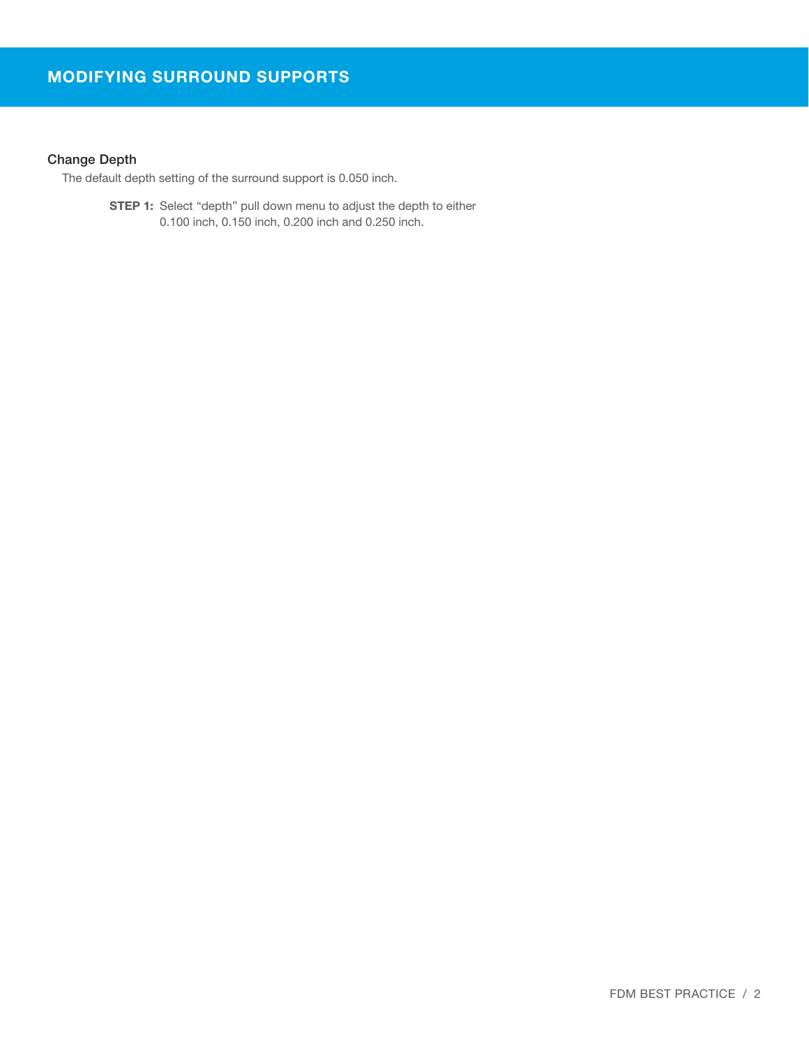# Change Depth

The default depth setting of the surround support is 0.050 inch.

**STEP 1:** Select "depth" pull down menu to adjust the depth to either 0.100 inch, 0.150 inch, 0.200 inch and 0.250 inch.